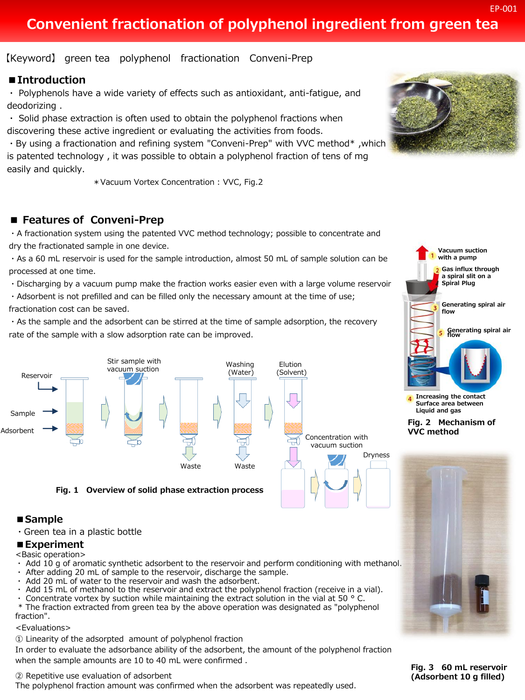## **Convenient fractionation of polyphenol ingredient from green tea**

【Keyword】 green tea polyphenol fractionation Conveni-Prep

#### **■Introduction**

・ Polyphenols have a wide variety of effects such as antioxidant, anti-fatigue, and deodorizing .

・ Solid phase extraction is often used to obtain the polyphenol fractions when discovering these active ingredient or evaluating the activities from foods.

・By using a fractionation and refining system "Conveni-Prep" with VVC method\* ,which is patented technology , it was possible to obtain a polyphenol fraction of tens of mg easily and quickly.

\*Vacuum Vortex Concentration : VVC, Fig.2

#### **■ Features of Conveni-Prep**

・A fractionation system using the patented VVC method technology; possible to concentrate and dry the fractionated sample in one device.

・As a 60 mL reservoir is used for the sample introduction, almost 50 mL of sample solution can be processed at one time.

・Discharging by a vacuum pump make the fraction works easier even with a large volume reservoir.

・Adsorbent is not prefilled and can be filled only the necessary amount at the time of use; fractionation cost can be saved.

・As the sample and the adsorbent can be stirred at the time of sample adsorption, the recovery rate of the sample with a slow adsorption rate can be improved.



#### **■Sample**

・Green tea in a plastic bottle

#### **■Experiment**

<Basic operation>

- ・ Add 10 g of aromatic synthetic adsorbent to the reservoir and perform conditioning with methanol.
- After adding 20 mL of sample to the reservoir, discharge the sample.
- ・ Add 20 mL of water to the reservoir and wash the adsorbent.
- Add 15 mL of methanol to the reservoir and extract the polyphenol fraction (receive in a vial).
- Concentrate vortex by suction while maintaining the extract solution in the vial at 50  $\degree$  C.
- \* The fraction extracted from green tea by the above operation was designated as "polyphenol fraction".

#### <Evaluations>

① Linearity of the adsorpted amount of polyphenol fraction

In order to evaluate the adsorbance ability of the adsorbent, the amount of the polyphenol fraction when the sample amounts are 10 to 40 mL were confirmed .

② Repetitive use evaluation of adsorbent

The polyphenol fraction amount was confirmed when the adsorbent was repeatedly used.





**Fig. 2 Mechanism of VVC method**



**Fig. 3 60 mL reservoir (Adsorbent 10 g filled)**